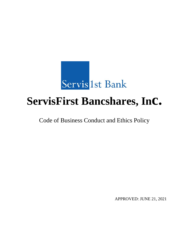

# **ServisFirst Bancshares, Inc.**

Code of Business Conduct and Ethics Policy

APPROVED: JUNE 21, 2021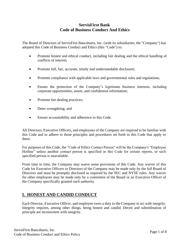#### **ServisFirst Bank Code of Business Conduct And Ethics**

The Board of Directors of ServisFirst Bancshares, Inc. (with its subsidiaries, the "Company") has adopted this Code of Business Conduct and Ethics (this "Code") to:

- Promote honest and ethical conduct, including fair dealing and the ethical handling of conflicts of interest;
- Promote full, fair, accurate, timely and understandable disclosure;
- Promote compliance with applicable laws and governmental rules and regulations;
- Ensure the protection of the Company's legitimate business interests, including corporate opportunities, assets, and confidential information;
- Promote fair dealing practices;
- Deter wrongdoing; and
- Ensure accountability and adherence to this Code.

All Directors, Executive Officers, and employees of the Company are required to be familiar with this Code and to adhere to those principles and procedures set forth in this Code that apply to them.

For purposes of this Code, the "Code of Ethics Contact Person" will be the Company's "Employee Hotline" unless another contact person is specified in this Code for certain reports, or such specified person is unavailable.

From time to time, the Company may waive some provisions of this Code. Any waiver of this Code for Executive Officers or Directors of the Company may be made only by the full Board of Directors and must be promptly disclosed as required by the SEC and NYSE rules. Any waiver for other employees may be made only by a committee of the Board or an Executive Officer of the Company specifically granted such authority.

# **I. HONEST AND CANDID CONDUCT**

Each Director, Executive Officer, and employee owes a duty to the Company to act with integrity. Integrity requires, among other things, being honest and candid. Deceit and subordination of principle are inconsistent with integrity.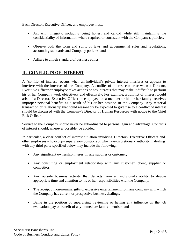Each Director, Executive Officer, and employee must:

- Act with integrity, including being honest and candid while still maintaining the confidentiality of information where required or consistent with the Company's policies;
- Observe both the form and spirit of laws and governmental rules and regulations, accounting standards and Company policies; and
- Adhere to a high standard of business ethics.

## **II. CONFLICTS OF INTEREST**

A "conflict of interest" occurs when an individual's private interest interferes or appears to interfere with the interests of the Company. A conflict of interest can arise when a Director, Executive Officer or employee takes actions or has interests that may make it difficult to perform his or her Company work objectively and effectively. For example, a conflict of interest would arise if a Director, Executive Officer or employee, or a member or his or her family, receives improper personal benefits as a result of his or her position in the Company. Any material transaction or relationship that could reasonably be expected to give rise to a conflict of interest should be discussed with the Company's Director of Human Resources with notice to the Chief Risk Officer.

Service to the Company should never be subordinated to personal gain and advantage. Conflicts of interest should, wherever possible, be avoided.

In particular, a clear conflict of interest situation involving Directors, Executive Officers and other employees who occupy supervisory positions or who have discretionary authority in dealing with any third party specified below may include the following:

- Any significant ownership interest in any supplier or customer;
- Any consulting or employment relationship with any customer, client, supplier or competitor;
- Any outside business activity that detracts from an individual's ability to devote appropriate time and attention to his or her responsibilities with the Company;
- The receipt of non-nominal gifts or excessive entertainment from any company with which the Company has current or prospective business dealings;
- Being in the position of supervising, reviewing or having any influence on the job evaluation, pay or benefit of any immediate family member; and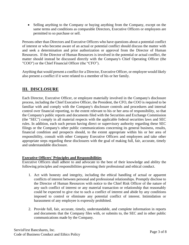• Selling anything to the Company or buying anything from the Company, except on the same terms and conditions as comparable Directors, Executive Officers or employees are permitted to so purchase or sell.

Persons other than Directors and Executive Officers who have questions about a potential conflict of interest or who become aware of an actual or potential conflict should discuss the matter with and seek a determination and prior authorization or approval from the Director of Human Resources. If the Director of Human Resources is involved in the potential or actual conflict, the matter should instead be discussed directly with the Company's Chief Operating Officer (the "COO") or the Chief Financial Officer (the "CFO").

Anything that would present a conflict for a Director, Executive Officer, or employee would likely also present a conflict if it were related to a member of his or her family.

## **III. DISCLOSURE**

Each Director, Executive Officer, or employee materially involved in the Company's disclosure process, including the Chief Executive Officer, the President, the CFO, the COO is required to be familiar with and comply with the Company's disclosure controls and procedures and internal control over financial reporting, to the extent relevant to his or her area of responsibility, so that the Company's public reports and documents filed with the Securities and Exchange Commission (the "SEC") comply in all material respects with the applicable federal securities laws and SEC rules. In addition, each such person having direct or supervisory authority regarding these SEC filings or the Company's other public communications concerning its general business, results, financial condition and prospects should, to the extent appropriate within his or her area of responsibility, consult with other Company Executive Officers and employees and take other appropriate steps regarding these disclosures with the goal of making full, fair, accurate, timely and understandable disclosure.

#### **Executive Officers' Principles and Responsibilities**

Executive Officers shall adhere to and advocate to the best of their knowledge and ability the following principles and responsibilities governing their professional and ethical conduct.

- 1. Act with honesty and integrity, including the ethical handling of actual or apparent conflicts of interest between personal and professional relationships. Promptly disclose to the Director of Human Resources with notice to the Chief Risk Officer of the nature of any such conflict of interest or any material transaction or relationship that reasonably could be expected to give rise to such a conflict of interest and abide by any conditions imposed to control or eliminate any potential conflict of interest. Intimidation or harassment of any employee is expressly prohibited.
- 2. Provide full, fair, accurate, timely, understandable, and complete information in reports and documents that the Company files with, or submits to, the SEC and in other public communications made by the Company.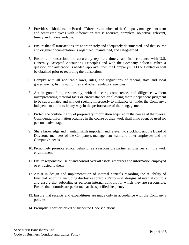- 3. Provide stockholders, the Board of Directors, members of the Company management team and other employees with information that is accurate, complete, objective, relevant, timely and understandable.
- 4. Ensure that all transactions are appropriately and adequately documented, and that source and original documentation is organized, maintained, and safeguarded.
- 5. Ensure all transactions are accurately reported, timely, and in accordance with U.S. Generally Accepted Accounting Principles and with the Company policies. When a question or clarification is needed, approval from the Company's CFO or Controller will be obtained prior to recording the transaction.
- 6. Comply with all applicable laws, rules, and regulations of federal, state and local governments, listing authorities and other regulatory agencies.
- 7. Act in good faith, responsibly, with due care, competence, and diligence, without misrepresenting material facts or circumstances or allowing their independent judgment to be subordinated and without seeking improperly to influence or hinder the Company's independent auditors in any way in the performance of their engagement.
- 8. Protect the confidentiality of proprietary information acquired in the course of their work. Confidential information acquired in the course of their work shall in no event be used for personal advantage.
- 9. Share knowledge and maintain skills important and relevant to stockholders, the Board of Directors, members of the Company's management team and other employees and the Company's needs.
- 10. Proactively promote ethical behavior as a responsible partner among peers in the work environment.
- 11. Ensure responsible use of and control over all assets, resources and information employed or entrusted to them.
- 12. Assist in design and implementation of internal controls regarding the reliability of financial reporting, including disclosure controls. Perform all designated internal controls and ensure that subordinates perform internal controls for which they are responsible. Ensure that controls are performed at the specified frequency.
- 13. Ensure that receipts and expenditures are made only in accordance with the Company's policies.
- 14. Promptly report observed or suspected Code violations.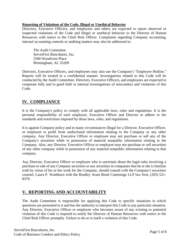#### **Reporting of Violations of the Code, Illegal or Unethical Behavior**

Directors, Executive Officers, and employees and others are expected to report observed or suspected violations of the Code and illegal or unethical behavior to the Director of Human Resources with notice to the Chief Risk Officer. Complaints regarding Company accounting, internal accounting controls or auditing matters may also be addressed to:

The Audit Committee ServisFirst Bancshares, Inc. 2500 Woodcrest Place Birmingham, AL 35209

Directors, Executive Officers, and employees may also use the Company's "Employee Hotline." Reports will be treated in a confidential manner. Investigations related to this Code will be conducted by the Audit Committee. Directors, Executive Officers, and employees are expected to cooperate fully and in good faith in internal investigations of misconduct and violations of this Code.

# **IV. COMPLIANCE**

It is the Company's policy to comply with all applicable laws, rules and regulations. It is the personal responsibility of each employee, Executive Officer and Director to adhere to the standards and restrictions imposed by those laws, rules, and regulations.

It is against Company policy and in many circumstances illegal for a Director, Executive Officer, or employee to profit from undisclosed information relating to the Company or any other company. Any Director, Executive Officer or employee may not purchase or sell any of the Company's securities while in possession of material nonpublic information relating to the Company. Also, any Director, Executive Officer or employee may not purchase or sell securities of any other company while in possession of any material nonpublic information relating to that company.

Any Director, Executive Officer or employee who is uncertain about the legal rules involving a purchase or sale of any Company securities or any securities in companies that he or she is familiar with by virtue of his or her work for the Company, should consult with the Company's securities counsel, Laura P. Washburn with the Bradley Arant Boult Cummings LLP law firm, (205) 521- 8370.

# **V. REPORTING AND ACCOUNTABILITY**

The Audit Committee is responsible for applying this Code to specific situations in which questions are presented to it and has the authority to interpret this Code in any particular situation. Any Director, Executive Officer or employee who becomes aware of any existing or potential violation of this Code is required to notify the Director of Human Resources with notice to the Chief Risk Officer promptly. Failure to do so is itself a violation of this Code.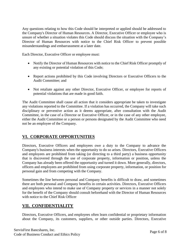Any questions relating to how this Code should be interpreted or applied should be addressed to the Company's Director of Human Resources. A Director, Executive Officer or employee who is unsure of whether a situation violates this Code should discuss the situation with the Company's Director of Human Resources with notice to the Chief Risk Officer to prevent possible misunderstandings and embarrassment at a later date.

Each Director, Executive Officer or employee must:

- Notify the Director of Human Resources with notice to the Chief Risk Officer promptly of any existing or potential violation of this Code;
- Report actions prohibited by this Code involving Directors or Executive Officers to the Audit Committee; and
- Not retaliate against any other Director, Executive Officer, or employee for reports of potential violations that are made in good faith.

The Audit Committee shall cause all action that it considers appropriate be taken to investigate any violations reported to the Committee. If a violation has occurred, the Company will take such disciplinary or preventive action as it deems appropriate, after consultation with the Audit Committee, in the case of a Director or Executive Officer, or in the case of any other employee, either the Audit Committee or a person or persons designated by the Audit Committee who need not be an employee of the Company.

#### **VI. CORPORATE OPPORTUNITIES**

Directors, Executive Officers and employees owe a duty to the Company to advance the Company's business interests when the opportunity to do so arises. Directors, Executive Officers and employees are prohibited from taking (or directing to a third party) a business opportunity that is discovered through the use of corporate property, information or position, unless the Company has already been offered the opportunity and turned it down. More generally, directors, officers and employees are prohibited from using corporate property, information, or position for personal gain and from competing with the Company.

Sometimes the line between personal and Company benefits is difficult to draw, and sometimes there are both personal and Company benefits in certain activities. Directors, Executive Officers and employees who intend to make use of Company property or services in a manner not solely for the benefit of the Company should consult beforehand with the Director of Human Resources with notice to the Chief Risk Officer

#### **VII. CONFIDENTIALITY**

Directors, Executive Officers, and employees often learn confidential or proprietary information about the Company, its customers, suppliers, or other outside parties. Directors, Executive